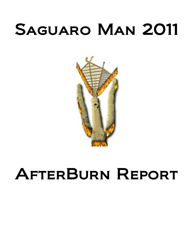# Saguaro Man 2011



# AfterBurn Report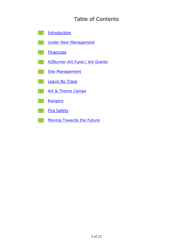# Table of Contents

- **E** [Introduction](#page-2-0)
- **EN [Under New Management](#page-4-0)**
- **[Financials](#page-7-0)**
- **[AZBurner Art Fund / Art Grants](#page-8-0)**
- **Site Management**
- **ER [Leave No Trace](#page-11-0)**
- **[Art & Theme Camps](#page-12-0)**
- **[Rangers](#page-13-0)**
- **[Fire Safety](#page-17-0)**
- [Moving Towards the Future](#page-19-0)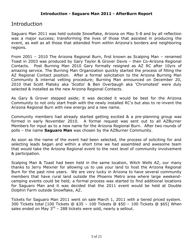# <span id="page-2-0"></span>**Introduction**

Saguaro Man 2011 was held outside Snowflake, Arizona on May 5-8 and by all reflection was a major success; transforming the lives of those that assisted in producing the event, as well as all those that attended from within Arizona's borders and neighboring regions.

From 2001 – 2010 The Arizona Regional Burn, first known as Scalping Man – renamed Toast in 2003 was produced by Gary Taylor & Grover Davis – then Co-Arizona Regional Contacts. Post Burning Man 2010 Gary formally resigned as AZ RC after 10yrs of amazing service. The Burning Man Organization quickly started the process of filling the AZ Regional Contact position. After a formal solicitation to the Arizona Burning Man Community & internal vetting procedure; Burning Man announced on December 20, 2010 that Scott Platsky aka 'Scotto' & Ben Overbaugh aka 'Chromotest' were duly selected & installed as the new Arizona Regional Contacts.

As Gary & Grover stepped aside; it was decided it would be best for the Arizona Community to not only start fresh with the newly installed RC's but also to re-invent the Arizona Regional Burn with new energy and a new name.

Community members had already started getting excited & a pre-planning group was formed in early November 2010. A formal request was sent out to all AZBurner Members for input as to a new name for the Arizona Regional Burn. After two rounds of polls – the name **Saguaro Man** was chosen by the AZBurner Community.

As soon as the name of the event had been selected, the process of soliciting for and selecting leads began and within a short time we had assembled and awesome team that would take the Arizona Regional event to the next level of community involvement & participation.

Scalping Man & Toast had been held in the same location, Witch Wells AZ, our many thanks to Jerry Meixner for allowing us to use your land to host the Arizona Regional Burn for the past nine years. We are very lucky in Arizona to have several community members that have rural land outside the Phoenix Metro area where large weekendcamping events could be held; a formal process was started to find additional locations for Saguaro Man and it was decided that the 2011 event would be held at Double Dolphin Farm outside Snowflake, AZ.

Tickets for Saguaro Man 2011 went on sale March 1, 2011 with a tiered priced system. 300 Tickets total [100 Tickets @ \$35 – 100 Tickets @ \$50 – 100 Tickets @ \$65] When sales ended on May  $3^{rd}$  – 288 tickets were sold, nearly a sellout.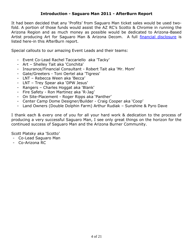## **Introduction - Saguaro Man 2011 - AfterBurn Report**

It had been decided that any "Profits" from Saguaro Man ticket sales would be used twofold. A portion of those funds would assist the AZ RC"s Scotto & Chromie in running the Arizona Region and as much money as possible would be dedicated to Arizona-Based Artist producing Art for Saguaro Man & Arizona Decom. A full [financial disclosure](#page-7-0) is listed here-in this AfterBurn report.

Special callouts to our amazing Event Leads and their teams:

- Event Co-Lead Rachel Taccariello aka 'Tacky'
- Art Shelley Tait aka 'Conchita'
- Insurance/Financial Consultant Robert Tait aka 'Mr. Mom'
- Gate/Greeters Toni Oertel aka 'Tigress'
- LNT Rebecca Ween aka 'Becca"
- LNT Trey Spear aka "DPW Jesus"
- Rangers Charles Hoggat aka 'Blank'
- Fire Safety Ron Martinez aka "R-Jag"
- On Site-Placement Roger Ripps aka "Panther"
- Center Camp Dome Designer/Builder Craig Cooper aka "Coop"
- Land Owners (Double Dolphin Farm) Arthur Rudiak Sunshine & Pyro Dave

I thank each & every one of you for all your hard work & dedication to the process of producing a very successful Saguaro Man, I see only great things on the horizon for the continued success of Saguaro Man and the Arizona Burner Community.

Scott Platsky aka 'Scotto"

- Co-Lead Saguaro Man
- Co-Arizona RC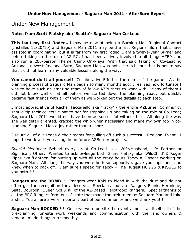# <span id="page-4-0"></span>Under New Management

## **Notes from Scott Platsky aka 'Scotto'- Saguaro Man Co-Lead**

**This isn't my first Rodeo…**I may be new at being a Burning Man Regional Contact (Installed 12/20/10) and Saguaro Man 2011 may be the first Regional Burn that I have assisted in coordinating, but it is far from my first rodeo. I am a twelve-year Burner and before taking on the role of AZ RC, I had been actively involved in all things AZBM and also run a 200-person Theme Camp On-Playa. With that said taking on Co-Leading Arizona's newest Regional Burn, Saguaro Man was not a stretch, but that is not to say that I did not learn many valuable lessons along the way.

**You cannot do it all yourself**: Collaborative Effort is the name of the game. As the planning process of Saguaro Man began so many months ago, I realized how fortunate I was to have such an amazing team of fellow AZBurners to work with. Many of them I did not know well or at all before we started down the planning road, but quickly became fast friends with all of them as we worked out the details at each step.

I most appreciative of Rachel Taccariello aka 'Tacky' - the entire AZBurner Community should tip their collective hat to her for stepping up and taking on the role of Co-Lead; Saguaro Man 2011 would not have been as successful without her. All along the way she was detail oriented, cracked the whip when necessary and made my own job in coplanning Saguaro Man a joy rather than a chore.

I salute all of our Leads & their teams for pulling off such a successful Regional Event. I hope to work with you all again on future AZBurner projects.

*Special Mentions*: Behind every great Co-Lead is a Wife/Husband, Life Partner or Significant Other. Wanted to acknowledge both Ginny Platsky aka 'WildChild' & Roger Ripps aka 'Panther' for putting up with all the crazy hours Tacky & I spent working on Saguaro Man. All along the way you were both so supportive, gave your opinions, and knew when to back off. I am sure I speak for Tacky – The Hugest HUGGS & KISSES to you both!!!!

**Rangers are the BOMB**!!! Rangers wear Kaki to blend in with the dust and do not often get the recognition they deserve. Special callouts to Rangers Blank, Hermione, Sista, Bourbon, Queen Sol & all of the AZ-Based Heliotropic Rangers. Special thanks to all the BRC Rangers form out of state that made the trek to enjoy Saguaro Man and take a shift. You all are a very important part of our community and we thank you!!!

**Saguaro Man ROCKED**!!!! Once we were on-site the event almost ran itself; all of the pre-planning, on-site work weekends and communication with the land owners & vendors made things run smoothly.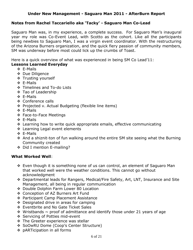## **Under New Management - Saguaro Man 2011 - AfterBurn Report**

## <span id="page-5-0"></span>**Notes from Rachel Taccariello aka 'Tacky' - Saguaro Man Co-Lead**

Saguaro Man was, in my experience, a complete success. For Saguaro Man"s inaugural year my role was Co-Event Lead, with Scotto as the cohort. Like all the participants being newbies to Saguaro Man, I was a virgin event coordinator. With the restructuring of the Arizona Burners organization, and the quick fiery passion of community members, SM was underway before most could lick up the crumbs of Toast.

Here is a quick overview of what was experienced in being SM Co Lead"11:

### **Lessons Learned Everyday**

- E-Mails
- ❖ Due Diligence
- **↑ Trusting yourself**
- E-Mails
- ❖ Timelines and To-do Lists
- ❖ Tao of Leadership
- E-Mails
- ❖ Conference calls
- \* Projected v. Actual Budgeting (flexible line items)
- E-Mails
- Face-to-Face Meetings
- E-Mails
- Learning how to write quick appropriate emails, effective communicating
- ❖ Learning Legal event elements
- E-Mails
- And a shiznit-ton of fun walking around the entire SM site seeing what the Burning Community created
- ◆ Did I mention E-mailing?

#### **What Worked Well**:

- Even though it is something none of us can control, an element of Saguaro Man that worked well were the weather conditions. This cannot go without acknowledgment
- Departmental leads for Rangers, Medical/Fire Safety, Art, LNT, Insurance and Site Management, all being in regular communication
- ◆ Double Dolphin Farm Lower 80 Location
- Conception of AZ Burners Art Fund
- ❖ Participant Camp Placement Assistance
- ❖ Designated drive in areas for camping
- ❖ Eventbrite and No Gate Ticket Sales
- $\div$  Wristbands  $\sim$  proof of admittance and identify those under 21 years of age
- ❖ Servicing of Potties mid-event
- ❖ The Greeter experience was stellar
- SoOwRU Dome (Coop"s Center Structure)
- pARTicipation in all forms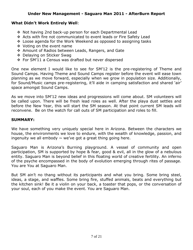## **What Didn't Work Entirely Well**:

- ◆ Not having 2nd back-up person for each Departmental Lead
- Acts with fire not communicated to event leads or Fire Safety Lead
- Loose agenda for the Work Weekend as opposed to assigning tasks
- Voting on the event name
- Amount of Radios between Leads, Rangers, and Gate
- ❖ Delaying on Sticker Swag
- For SM"11 a Census was drafted but never dispersed

One new element I would like to see for SM"12 is the pre-registering of Theme and Sound Camps. Having Theme and Sound Camps register before the event will ease town planning as we move forward, especially when we grow in population size. Additionally, for Sound/Music camps pre-registering, it'll aide in camping satisfaction and shared 'air' space amongst Sound Camps.

As we move into SM"12 new ideas and progressions will come about. SM volunteers will be called upon. There will be fresh lead roles as well. After the playa dust settles and before the New Year, this will start the SM season. At that point current SM leads will reconvene. Be on the watch for call outs of SM participation and roles to fill.

## **SUMMARY:**

We have something very uniquely special here in Arizona. Between the characters we house, the environments we love to endure, with the wealth of knowledge, passion, and ingenuity we all embody  $\sim$  we've got a great thing going here.

Saguaro Man is Arizona's Burning playground. A vessel of community and open participation, SM is supported by hope & fear, good & evil, all in the glow of a nebulous entity. Saguaro Man is beyond belief in this floating world of creative fertility. An inferno of the psyche encompassed in the body of evolution emerging through rites of passage. You are You at Saguaro Man.

But SM ain't no thang without its participants and what you bring. Some bring steel, ideas, a stage, and waffles. Some bring fire, stuffed animals, beats and everything but the kitchen sink! Be it a violin on your back, a toaster that pops, or the conversation of your soul, each of you make the event. You are Saguaro Man.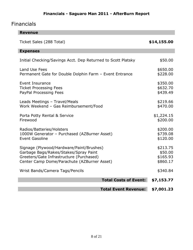# **Financials - Saguaro Man 2011 - AfterBurn Report**

# <span id="page-7-0"></span>Financials

| <b>Revenue</b>                                                                                                                                                               |                              |                                             |
|------------------------------------------------------------------------------------------------------------------------------------------------------------------------------|------------------------------|---------------------------------------------|
| Ticket Sales (288 Total)                                                                                                                                                     |                              | \$14,155.00                                 |
| <b>Expenses</b>                                                                                                                                                              |                              |                                             |
| Initial Checking/Savings Acct. Dep Returned to Scott Platsky                                                                                                                 |                              | \$50.00                                     |
| Land Use Fees<br>Permanent Gate for Double Dolphin Farm - Event Entrance                                                                                                     |                              | \$650.00<br>\$228.00                        |
| <b>Event Insurance</b><br><b>Ticket Processing Fees</b><br>PayPal Processing Fees                                                                                            |                              | \$350.00<br>\$632.70<br>\$439.49            |
| Leads Meetings - Travel/Meals<br>Work Weekend - Gas Reimbursement/Food                                                                                                       |                              | \$219.66<br>\$470.00                        |
| Porta Potty Rental & Service<br>Firewood                                                                                                                                     |                              | \$1,224.15<br>\$200.00                      |
| Radios/Batteries/Holsters<br>1000W Generator - Purchased (AZBurner Asset)<br><b>Event Gasoline</b>                                                                           |                              | \$200.00<br>\$739.08<br>\$120.00            |
| Signage (Plywood/Hardware/Paint/Brushes)<br>Garbage Bags/Rakes/Stakes/Spray Paint<br>Greeters/Gate Infrastructure (Purchased)<br>Center Camp Dome/Parachute (AZBurner Asset) |                              | \$213.75<br>\$50.00<br>\$165.93<br>\$860.17 |
| Wrist Bands/Camera Tags/Pencils                                                                                                                                              |                              | \$340.84                                    |
|                                                                                                                                                                              | <b>Total Costs of Event:</b> | \$7,153.77                                  |
|                                                                                                                                                                              | <b>Total Event Revenue:</b>  | \$7,001.23                                  |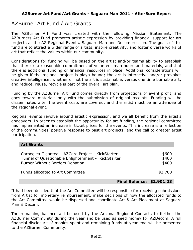# <span id="page-8-0"></span>AZBurner Art Fund / Art Grants

The AZBurner Art Fund was created with the following Mission Statement: The AZBurners Art Fund promotes artistic expression by providing financial support for art projects at the AZ Regional Events, Saguaro Man and Decompression. The goals of this fund are to attract a wider range of artists, inspire creativity, and foster diverse works of art that reflect the values within our community.

Considerations for funding will be based on the artist and/or teams ability to establish that there is a reasonable commitment of volunteer man hours and materials, and that there is additional funding or financial resources in place. Additional considerations will be given if the regional project is playa bound; the art is interactive and/or provokes creative intelligence; whether or not the art is sustainable, versus one time burnable art; and reduce, reuse, recycle is part of the overall art plan.

Funding by the AZBurner Art Fund comes directly from projections of event profit, and goes toward materials only with the submission of original receipts. Funding will be disseminated after the event costs are covered, and the artist must be an attendee of the regional event.

Regional events revolve around artistic expression, and we all benefit from the artist's endeavors. In order to establish the opportunity for art funding, the regional committee has implemented an increase in ticket prices for the events. This increase is a reflection of the communities' positive response to past art projects, and the call to greater artist participation.

| <b>Art Grants</b>                                                                                                                                 |                         |  |
|---------------------------------------------------------------------------------------------------------------------------------------------------|-------------------------|--|
| Carnegiea Gigantea - AZCore Project - KickStarter<br>Tunnel of Questionable Enlightenment - KickStarter<br><b>Burner Without Borders Donation</b> | \$600<br>\$400<br>\$400 |  |
| Funds allocated to Art Committee                                                                                                                  | \$2,700                 |  |

#### **Final Balance: \$2,901.23**

<span id="page-8-1"></span>It had been decided that the Art Committee will be responsible for receiving submissions from Artist for monetary reimbursement, make decisions of how the allocated funds to the Art Committee would be dispersed and coordinate Art & Art Placement at Saguaro Man & Decom.

The remaining balance will be used by the Arizona Regional Contacts to further the AZBurner Community during the year and be used as seed money for AZDecom. A full financial disclosure of monies spent and remaining funds at year-end will be presented to the AZBurner Community.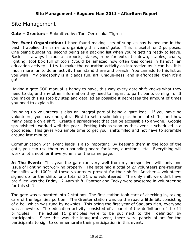## Site Management

**Gate – Greeters** – Submitted by: Toni Oertel aka 'Tigress'

**Pre-Event Organization:** I have found making lists of supplies has helped me in the past. I applied the same to organizing this years' gate. This is useful for 2 purposes. One being budgeting, second being as a packing list when you"re getting ready to leave. Basic list always includes: carports, stakes, rope for extra tie down, tables, chairs, lighting, tool box full of tools (you"d be amazed how often this comes in handy), an education activity. I try to make the education activity as interactive as it can be. It is much more fun to do an activity than stand there and preach. You can add to this list as you wish. My philosophy is if it adds fun, art, unique-ness, and is affordable, then it's a go!

Having a gate SOP manual is handy to have, this way every gate shift knows what they need to do, and any other information they need to impart to participants coming in. If you make this as step by step and detailed as possible it decreases the amount of times you need to explain it.

Rounding up volunteers is also an integral part of being a gate lead. If you have no volunteers, you have no gate. First to set a schedule: pick hours of shifts, and how many people on a shift. Create a spreadsheet that can be accessible to anyone. Google spreadsheets worked well this year. Posting this as soon as the event is scheduled is a good idea. This gives you ample time to get your shifts filled and not have to scramble around last minute.

Communication with event leads is also important. By keeping them in the loop of the gate, you can use them as a sounding board for ideas, questions, etc. Everything will work a lot smoother if everyone is on the same page.

At The Event: This year the gate ran very well from my perspective, with only one issue of lighting not working properly. The gate had a total of 27 volunteers pre-register for shifts with 100% of these volunteers present for their shifts. Another 4 volunteers signed up for the shifts for a total of 31 who volunteered. The only shift we didn"t have pre-filled was the Friday 12-4am shift. Panther and Tacky were awesome in volunteering for this shift.

The gate was separated into 2 stations. The first station took care of checking in, taking care of the legalities portion. The Greeter station was up the road a little bit, consisting of a bell which was rung by newbies. This being the first year of Saguaro Man, everyone was a newbie. The education activity consisted of a panel of the definitions of the 11 principles. The actual 11 principles were to be put next to their definition by participants. Since this was the inaugural event, there were panels of art for the participants to sign to commemorate their participation in this event.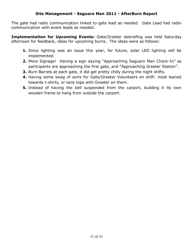The gate had radio communication linked to gate lead as needed. Gate Lead had radio communication with event leads as needed.

**Implementation for Upcoming Events:** Gate/Greeter debriefing was held Saturday afternoon for feedback, ideas for upcoming burns. The ideas were as follows:

- **1.** Since lighting was an issue this year, for future, solar LED lighting will be implemented.
- **2.** More Signage! Having a sign saying "Approaching Saguaro Man Check-In" as participants are approaching the first gate, and "Approaching Greeter Station".
- **3.** Burn Barrels at each gate, it did get pretty chilly during the night shifts.
- **4.** Having some swag of sorts for Gate/Greeter Volunteers on shift: most leaned towards t-shirts, or tank tops with Greeter on them.
- **5.** Instead of having the bell suspended from the carport, building it its own wooden frame to hang from outside the carport.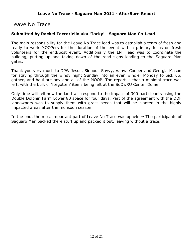## <span id="page-11-0"></span>Leave No Trace

## **Submitted by Rachel Taccariello aka 'Tacky' - Saguaro Man Co-Lead**

The main responsibility for the Leave No Trace lead was to establish a team of fresh and ready to work MOOPers for the duration of the event with a primary focus on fresh volunteers for the end/post event. Additionally the LNT lead was to coordinate the building, putting up and taking down of the road signs leading to the Saguaro Man gates.

Thank you very much to DPW Jesus, Sinuous Savvy, Vanya Cooper and Georgia Mason for staying through the windy night Sunday into an even windier Monday to pick up, gather, and haul out any and all of the MOOP. The report is that a minimal trace was left, with the bulk of 'forgotten' items being left at the SoOwRU Center Dome.

Only time will tell how the land will respond to the impact of 300 participants using the Double Dolphin Farm Lower 80 space for four days. Part of the agreement with the DDF landowners was to supply them with grass seeds that will be planted in the highly impacted areas after the monsoon season.

In the end, the most important part of Leave No Trace was upheld  $\sim$  The participants of Saguaro Man packed there stuff up and packed it out, leaving without a trace.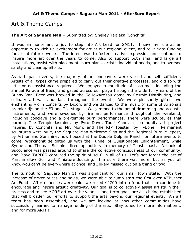# <span id="page-12-0"></span>Art & Theme Camps

## **The Art of Saguaro Man** – Submitted by: Shelley Tait aka 'Conchita'

It was an honor and a joy to step into Art Lead for SM11. I saw my role as an opportunity to kick up excitement for art at our regional event, and to initiate funding for art at future events. The intent was to foster creative expression and continue to inspire more art over the years to come. Also to support both small and large art installations, assist with placement, burn plans, artist's individual needs, and to oversee safety and cleanup efforts.

As with past events, the majority of art endeavors were varied and self sufficient. Artists of all types came prepared to carry out their creative processes, and did so with little or no assistance required. We enjoyed a multitude of costumes, including the annual Parade of Bees, and gazed across our playa through the wide furry ears of the Bunny Van. Beer was brewed in the SoHowAreYou dome by Cosmic Distributing, and culinary art was abundant throughout the event. We were pleasantly gifted two enchanting violin concerts by Dixon, and we danced to the music of some of Arizona's premier djs on the E3 and Tiki stages. We jammed to the art of drumming and acoustic instruments, and were swooned by fire art performance throughout the weekend, including conclave and a pre-temple burn performances. There were sculptures that burned; The Temple-Jasmine, by Pyro Dave, Todd Mann, a community art project inspired by Conchita and Mr. Mom, and The RIP Toaster, by T-Bone. Permanent sculptures were built, the Saguaro Man Welcome Sign and the Regional Burn Milepost, by Arthur and Sunshine, now housed at the Double Dolphin Ranch for future events to come. Workinonit delighted us with the Tunnel of Questionable Enlightenment, while Sydne and Thomas Schinkel fired up pottery in memory of Toasts past. A book of Succulence was passed around to share the collective consciousness of our community, and Playa TARDIS captured the spirit of sci-fi in all of us. Let's not forget the art of Marshmallow Golf and Miniature Jousting. I'm sure there was more, but as you all know-you can't be everywhere at once, and I likely missed out on a thing or two!

The turnout for Saguaro Man 11 was significant for our small town state. With the increase of ticket prices and sales, we were able to jump start the first ever AZBurner Art Fund! After expenses were paid, we rolled \$2700 into a fund that can continue to encourage and inspire artistic creativity. Our goal is to collectively assist artists in their process and to see MORE art over the years. Long term goals are also being established that will broaden our efforts to support the arts beyond our regional events. An art team has been assembled, and we are looking at how other communities have successfully learned to manage funding of the arts. Stay tuned for more information... and for more ART!!!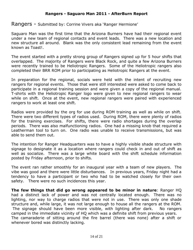<span id="page-13-0"></span>Rangers - Submitted by: Corrine Vivers aka "Ranger Hermione"

Saguaro Man was the first time that the Arizona Burners have had their regional event under a new team of regional contacts and event leads. There was a new location and new structure all around. Blank was the only consistent lead remaining from the event known as Toast!.

The event started with a pretty strong group of Rangers signed up for 5 hour shifts that overlapped. The majority of Rangers were Black Rock, and quite a few Arizona Burners were recently trained to be Heliotropic Rangers. Some of the Heliotropic rangers also completed their BRR ROM prior to participating as Heliotropic Rangers at the event.

In preparation for the regional, socials were held with the intent of recruiting new rangers for regional events. Those that were still interested were asked to come back to participate in a regional training session and were given a copy of the regional manual. T-shirts with the Heliotropic Ranger logo were given to new regional rangers to wear while on shift. Once at the event, new regional rangers were paired with experienced rangers to work at least one shift.

Radios were provided by the org for use during ROM training as well as while on shift. There were two different types of radios used. During ROM, there were plenty of radios for the training exercises. For shifts, there were radio shortages during the overlap periods. There was also malfunctioning radios. One had a missing knob that required a Leatherman tool to turn on. One radio was unable to receive transmissions, but was able to send them out.

The intention for Ranger Headquarters was to have a highly visible shade structure with signage to designate it as a location where rangers could check in and out of shift as well as socialize. There was a large white board with the shift schedule information posted by Friday afternoon, prior to shifts.

The event ran rather smoothly for an inaugural year with a team of new players. The vibe was good and there were little disturbances. In previous years, Friday night had a tendency to have a participant or two who had to be watched closely for their own safety. There were no such incidences this year.

**The few things that did go wrong appeared to be minor in nature**: Ranger HQ had a distinct lack of power and was not centrally located enough. There was no lighting, nor way to charge radios that were not in use. There was only one shade structure and, while large, it was not large enough to house all the rangers at the ROM. The signage should have been more visible, with lighting after dark. No rangers camped in the immediate vicinity of HQ which was a definite shift from previous years. The camaraderie of sitting around the fire barrel (there was none) after a shift or whenever bored was distinctly lacking.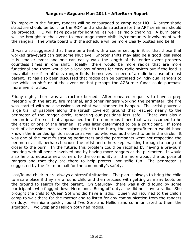## **Rangers - Saguaro Man 2011 - AfterBurn Report**

To improve in the future, rangers will be encouraged to camp near HQ. A larger shade structure should be built for the ROM and a shade structure for the ART seminars should be provided. HQ will have power for lighting, as well as radio charging. A burn barrel will be brought to the event to encourage more visibility/community involvement with the rangers. The white board with the schedule will be more clearly posted and be lit.

It was also suggested that there be a tent with a cooler set up in it so that those that worked graveyard can get some shut eye. Shorter shifts may also be a good idea since it is smaller event and one can easily walk the length of the entire event property countless times in one shift. Ideally, there would be more radios that are more functional and there would be a lock box of sorts for easy radio switch out if the lead is unavailable or if an off duty ranger finds themselves in need of a radio because of a lost parent. It has also been discussed that radios can be purchased by individual rangers to use while on shift or at the event or that perhaps the AZBurner funds could purchase more event radios.

Friday night, there was a structure burned. After repeated requests to have a prep meeting with the artist, fire marshal, and other rangers working the perimeter, the fire was started with no discussions on what was planned to happen. The artist poured a large trail of gasoline along the (brush covered) ground that reached nearly to the perimeter of the ranger circle, rendering our positions less safe. There was also a person in a fire suit that approached the fire numerous times that was assumed to be the artist or one of the firemen. It was later determined to be a participant. If some sort of discussion had taken place prior to the burn, the rangers/firemen would have known the intended ignition source as well as who was authorized to be in the circle. It was one of the most frustrating perimeters and the participants were not respecting the perimeter at all, perhaps because the artist and others kept walking through to hang out closer to the burn. In the future, this problem could be rectified by having a pre-burn meeting with all people involved and by having more rangers at the perimeter. It would also help to educate new comers to the community a little more about the purpose of rangers and that they are there to help protect, not stifle fun. The perimeter is suggested by the fire marshall for the community's safety.

Lost/found children are always a stressful situation. The plan is always to bring the child to a safe place if they are a found child and then proceed with getting as many boots on the ground to search for the parent. On Saturday, there was a child found by some participants who flagged down Hermione. Being off duty, she did not have a radio. She brought the child to Queen Sol who did have a radio. Queen Sol returned to the child"s camp to wait there for the mother and to listen for any communication from the rangers on duty. Hermione quickly found Two Step and Hellion and communicated to them the situation. Two Step and Hellion both had radios.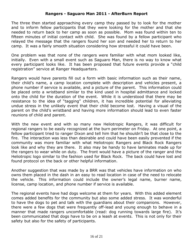## **Rangers - Saguaro Man 2011 - AfterBurn Report**

The three then started approaching every camp they passed by to look for the mother and to inform fellow participants that they were looking for the mother and that she needed to return back to her camp as soon as possible. Mom was found within ten to fifteen minutes of initial contact with child. She was found by a fellow participant who relayed the message that the rangers found her son and needed her to return to her camp. It was a fairly smooth situation considering how stressful it could have been.

One problem was that none of the rangers were familiar with what mom looked like, initially. Even with a small event such as Saguaro Man, there is no way to know what every participant looks like. It has been proposed that future events provide a "child registration" service at Ranger Headquarters.

Rangers would have parents fill out a form with basic information such as their name, their child"s name, a camp location complete with description and vehicles present, a phone number if service is available, and a picture of the parent. This information could be placed onto a wristband similar to the kind used in hospital admittance and locked onto the child for the duration of the event. While it is understood that there may be resistance to the idea of "tagging" children, it has incredible potential for alleviating undue stress in the unlikely event that their child become lost. Having a visual of the parent on the child"s wristband and having more information should lead to even faster reunions of child and parent.

With the new event and with so many new Heliotropic Rangers, it was difficult for regional rangers to be easily recognized at the burn perimeter on Friday. At one point, a fellow participant tried to ranger Dixon and tell him that he shouldn"t be that close to the fire. The interaction was less than desirable and could have been easily prevented if the community was more familiar with what Heliotropic Rangers and Black Rock Rangers look like and why they are there. It also may be handy to have laminates made up for the rangers to wear while on duty. The front would have a picture of the ranger and the Heliotropic logo similar to the fashion used for Black Rock. The back could have lost and found protocol on the back or other helpful information.

Another suggestion that was made by a BRR was that vehicles have information on who owns them placed in the dash in an easy to read location in case of the need to relocate the vehicle. This information could include the owner"s legal name, burner name, license, camp location, and phone number if service is available.

The regional events have had dogs welcome at them for years. With this added element comes added benefits for the community but also some added stress. It was wonderful to have the dogs to pet and talk with the guardians about their companions. However, there were a few dogs that were frequently off-lead and young enough to behave in a manner that made rangers uncomfortable (read: dog running towards large fire). It's been communicated that dogs have to be on a leash at events. This is not only for their safety but also for the safety of participants.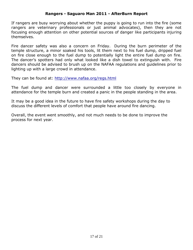### **Rangers - Saguaro Man 2011 - AfterBurn Report**

If rangers are busy worrying about whether the puppy is going to run into the fire (some rangers are veterinary professionals or just animal advocates), then they are not focusing enough attention on other potential sources of danger like participants injuring themselves.

Fire dancer safety was also a concern on Friday. During the burn perimeter of the temple structure, a minor soaked his tools, lit them next to his fuel dump, dripped fuel on fire close enough to the fuel dump to potentially light the entire fuel dump on fire. The dancer"s spotters had only what looked like a dish towel to extinguish with. Fire dancers should be advised to brush up on the NAFAA regulations and guidelines prior to lighting up with a large crowd in attendance.

They can be found at:<http://www.nafaa.org/regs.html>

The fuel dump and dancer were surrounded a little too closely by everyone in attendance for the temple burn and created a panic in the people standing in the area.

It may be a good idea in the future to have fire safety workshops during the day to discuss the different levels of comfort that people have around fire dancing.

Overall, the event went smoothly, and not much needs to be done to improve the process for next year.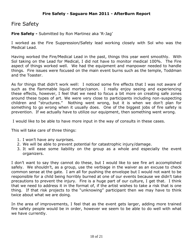## <span id="page-17-0"></span>Fire Safety

**Fire Safety -** Submitted by Ron Martinez aka "R-Jag"

I worked as the Fire Suppression/Safety lead working closely with Sol who was the Medical Lead.

Having worked the Fire/Medical Lead in the past, things this year went smoothly. With Sol taking on the Lead for Medical, I did not have to monitor medical 100%. The Fire aspect of things worked well. We had the equipment and manpower needed to handle things. Fire issues were focused on the main event burns such as the temple, Toddman and the Toaster.

As for things that didn't work well: I noticed some fire effects that I was not aware of such as the flammable liquid mortar/canon. I really enjoy seeing and experiencing these effects, however, I feel that we need to focus a bit more on creating safe zones around these types of art. We were very close to participants including non-suspecting children and "structures." Nothing went wrong, but it is when we don"t plan for something to go wrong when it usually does. One of the biggest jobs of fire safety is prevention. If we actually have to utilize our equipment, then something went wrong.

I would like to be able to have more input in the way of consults in these cases.

This will take care of three things:

- 1. I won"t have any surprises.
- 2. We will be able to prevent potential for catastrophic injury/damage.
- 3. It will ease some liability on the group as a whole and especially the event organizers.

I don't want to say they cannot do these, but I would like to see fire art accomplished safely. We shouldn't, as a group, use the verbiage in the waiver as an excuse to check common sense at the gate. I am all for pushing the envelope but I would not want to be responsible for a child being horribly burned at one of our events because we didn"t take precautions to prevent the injury. Fire is a huge part of our culture, I get that. I think that we need to address it in the format of, if the artist wishes to take a risk that is one thing. If that risk projects to the "unknowing" participant then we may have to think twice about what we are doing.

In the area of improvements, I feel that as the event gets larger, adding more trained fire safety people would be in order, however we seem to be able to do well with what we have currently.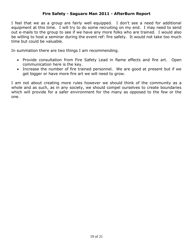## **Fire Safety - Saguaro Man 2011 - AfterBurn Report**

I feel that we as a group are fairly well equipped. I don"t see a need for additional equipment at this time. I will try to do some recruiting on my end. I may need to send out e-mails to the group to see if we have any more folks who are trained. I would also be willing to host a seminar during the event ref: fire safety. It would not take too much time but could be valuable.

In summation there are two things I am recommending.

- Provide consultation from Fire Safety Lead in flame effects and fire art. Open communication here is the key.
- Increase the number of fire trained personnel. We are good at present but if we get bigger or have more fire art we will need to grow.

I am not about creating more rules however we should think of the community as a whole and as such, as in any society, we should compel ourselves to create boundaries which will provide for a safer environment for the many as opposed to the few or the one.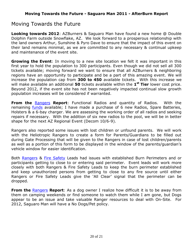# <span id="page-19-0"></span>Moving Towards the Future

**Looking towards 2012**: AZBurners & Saguaro Man have found a new home @ Double Dolphin Farm outside Snowflake, AZ. We look forward to a prosperous relationship with the land owners Arthur, Sunshine & Pyro Dave to ensure that the impact of this event on their land remains minimal, as we are committed to any necessary & continual upkeep and maintenance of the event site.

**Growing the Event**: In moving to a new site location we felt it was important in this first year to hold the population to 300 participants. Even though we did not sell all 300 tickets available; moving forward we want to ensure that all AZBurners & neighboring regions have an opportunity to participate and be a part of this amazing event. We will increase the population cap from **300 to 450** available tickets. With this increase we will make available an additional **50** tickets available within the **1 st Tier** lower cost price. Beyond 2012, if the event site has not been negatively impacted continual slow growth population increases will be considered if warranted.

**From the** [Rangers](#page-13-0) **Report**: Functional Radios and quantity of Radios. With the remaining **funds** available; I have made a purchase of 6 new Radios, Spare Batteries, Holsters & a 6-bay charger. We are assessing the working order of all radios and seeking repairs if necessary. With the addition of six new radios to the pool, we will be in better shape for the next AZ Regional Event (Decom 10/6-9).

Rangers also reported some issues with lost children or unfound parents. We will work with the Heliotropic Rangers to create a form for Parents/Guardians to be filled out during Gate Processing that will be given to the Rangers in case of lost children/parents as well as a portion of this form to be displayed in the window of the parents/guardian"s vehicle window for easier identification.

Both [Rangers](#page-13-0) & [Fire Safety](#page-17-0) Leads had issues with established Burn Perimeters and or participants getting to close to or entering said perimeter. Event leads will work more closely with both Rangers & Fire Safety Leads to keep the burn perimeter established and keep unauthorized persons from getting to close to any fire source until either Rangers or Fire Safety Leads give the "All Clear" signal that the perimeter can be dropped.

**From the <b>[Rangers](#page-13-0)** Report: As a dog owner I realize how difficult it is to be away from them on camping weekends or find someone to watch them while I am gone, but Dogs appear to be an issue and take valuable Ranger resources to deal with On-Site. For 2012, Saguaro Man will have a No Dogs/Pet policy.